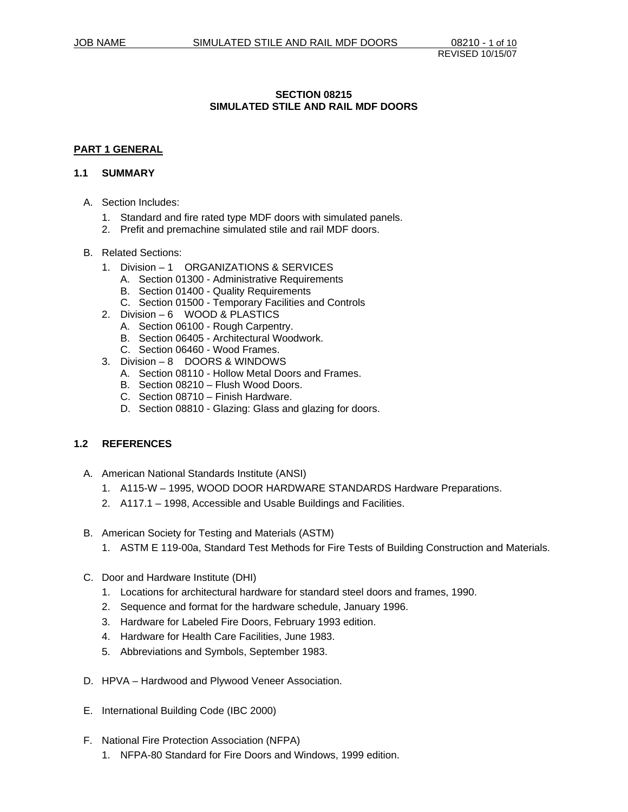### **SECTION 08215 SIMULATED STILE AND RAIL MDF DOORS**

### **PART 1 GENERAL**

#### **1.1 SUMMARY**

- A. Section Includes:
	- 1. Standard and fire rated type MDF doors with simulated panels.
	- 2. Prefit and premachine simulated stile and rail MDF doors.

#### B. Related Sections:

- 1. Division 1 ORGANIZATIONS & SERVICES
	- A. Section 01300 Administrative Requirements
	- B. Section 01400 Quality Requirements
	- C. Section 01500 Temporary Facilities and Controls
- 2. Division 6 WOOD & PLASTICS
	- A. Section 06100 Rough Carpentry.
	- B. Section 06405 Architectural Woodwork.
	- C. Section 06460 Wood Frames.
- 3. Division 8 DOORS & WINDOWS
	- A. Section 08110 Hollow Metal Doors and Frames.
	- B. Section 08210 Flush Wood Doors.
	- C. Section 08710 Finish Hardware.
	- D. Section 08810 Glazing: Glass and glazing for doors.

# **1.2 REFERENCES**

- A. American National Standards Institute (ANSI)
	- 1. A115-W 1995, WOOD DOOR HARDWARE STANDARDS Hardware Preparations.
	- 2. A117.1 1998, Accessible and Usable Buildings and Facilities.
- B. American Society for Testing and Materials (ASTM)
	- 1. ASTM E 119-00a, Standard Test Methods for Fire Tests of Building Construction and Materials.
- C. Door and Hardware Institute (DHI)
	- 1. Locations for architectural hardware for standard steel doors and frames, 1990.
	- 2. Sequence and format for the hardware schedule, January 1996.
	- 3. Hardware for Labeled Fire Doors, February 1993 edition.
	- 4. Hardware for Health Care Facilities, June 1983.
	- 5. Abbreviations and Symbols, September 1983.
- D. HPVA Hardwood and Plywood Veneer Association.
- E. International Building Code (IBC 2000)
- F. National Fire Protection Association (NFPA)
	- 1. NFPA-80 Standard for Fire Doors and Windows, 1999 edition.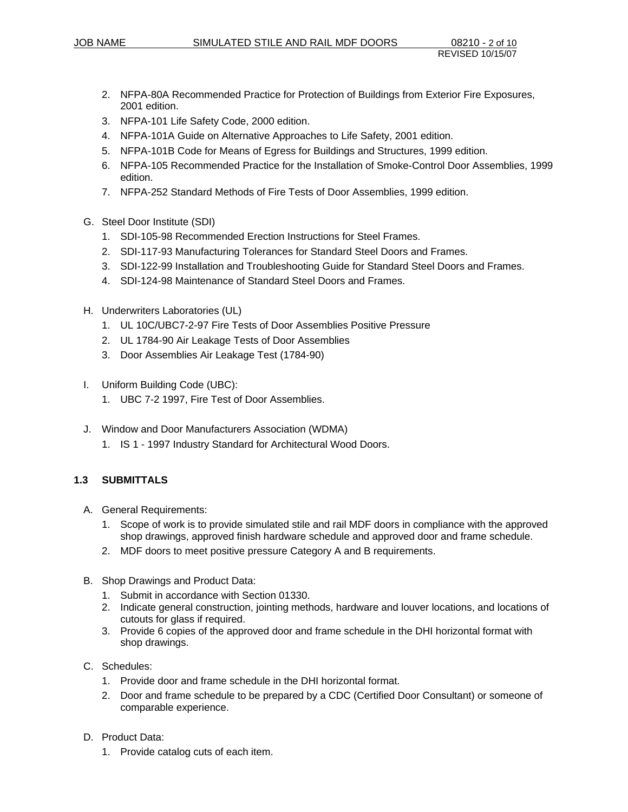- 2. NFPA-80A Recommended Practice for Protection of Buildings from Exterior Fire Exposures, 2001 edition.
- 3. NFPA-101 Life Safety Code, 2000 edition.
- 4. NFPA-101A Guide on Alternative Approaches to Life Safety, 2001 edition.
- 5. NFPA-101B Code for Means of Egress for Buildings and Structures, 1999 edition.
- 6. NFPA-105 Recommended Practice for the Installation of Smoke-Control Door Assemblies, 1999 edition.
- 7. NFPA-252 Standard Methods of Fire Tests of Door Assemblies, 1999 edition.
- G. Steel Door Institute (SDI)
	- 1. SDI-105-98 Recommended Erection Instructions for Steel Frames.
	- 2. SDI-117-93 Manufacturing Tolerances for Standard Steel Doors and Frames.
	- 3. SDI-122-99 Installation and Troubleshooting Guide for Standard Steel Doors and Frames.
	- 4. SDI-124-98 Maintenance of Standard Steel Doors and Frames.
- H. Underwriters Laboratories (UL)
	- 1. UL 10C/UBC7-2-97 Fire Tests of Door Assemblies Positive Pressure
	- 2. UL 1784-90 Air Leakage Tests of Door Assemblies
	- 3. Door Assemblies Air Leakage Test (1784-90)
- I. Uniform Building Code (UBC):
	- 1. UBC 7-2 1997, Fire Test of Door Assemblies.
- J. Window and Door Manufacturers Association (WDMA) 1. IS 1 - 1997 Industry Standard for Architectural Wood Doors.

# **1.3 SUBMITTALS**

- A. General Requirements:
	- 1. Scope of work is to provide simulated stile and rail MDF doors in compliance with the approved shop drawings, approved finish hardware schedule and approved door and frame schedule.
	- 2. MDF doors to meet positive pressure Category A and B requirements.
- B. Shop Drawings and Product Data:
	- 1. Submit in accordance with Section 01330.
	- 2. Indicate general construction, jointing methods, hardware and louver locations, and locations of cutouts for glass if required.
	- 3. Provide 6 copies of the approved door and frame schedule in the DHI horizontal format with shop drawings.
- C. Schedules:
	- 1. Provide door and frame schedule in the DHI horizontal format.
	- 2. Door and frame schedule to be prepared by a CDC (Certified Door Consultant) or someone of comparable experience.
- D. Product Data:
	- 1. Provide catalog cuts of each item.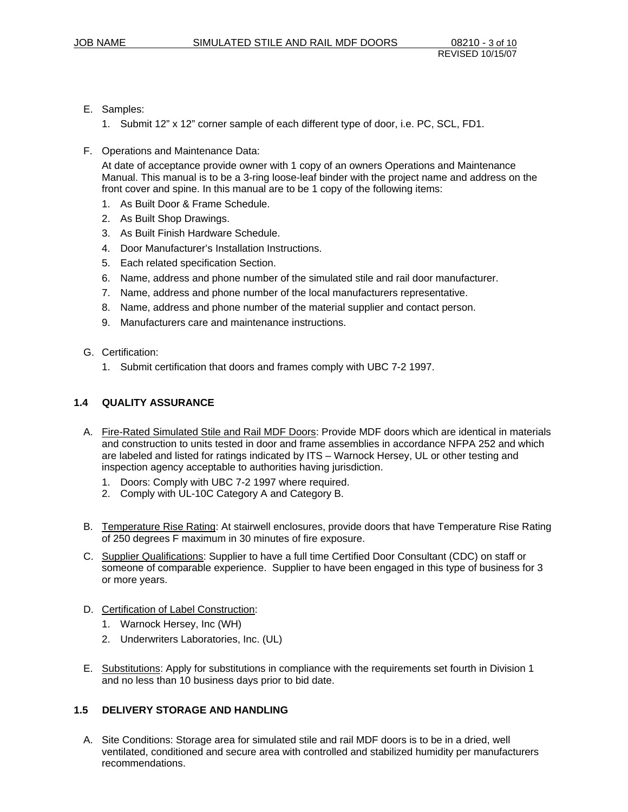- E. Samples:
	- 1. Submit 12" x 12" corner sample of each different type of door, i.e. PC, SCL, FD1.
- F. Operations and Maintenance Data:

At date of acceptance provide owner with 1 copy of an owners Operations and Maintenance Manual. This manual is to be a 3-ring loose-leaf binder with the project name and address on the front cover and spine. In this manual are to be 1 copy of the following items:

- 1. As Built Door & Frame Schedule.
- 2. As Built Shop Drawings.
- 3. As Built Finish Hardware Schedule.
- 4. Door Manufacturer's Installation Instructions.
- 5. Each related specification Section.
- 6. Name, address and phone number of the simulated stile and rail door manufacturer.
- 7. Name, address and phone number of the local manufacturers representative.
- 8. Name, address and phone number of the material supplier and contact person.
- 9. Manufacturers care and maintenance instructions.
- G. Certification:
	- 1. Submit certification that doors and frames comply with UBC 7-2 1997.

# **1.4 QUALITY ASSURANCE**

- A. Fire-Rated Simulated Stile and Rail MDF Doors: Provide MDF doors which are identical in materials and construction to units tested in door and frame assemblies in accordance NFPA 252 and which are labeled and listed for ratings indicated by ITS – Warnock Hersey, UL or other testing and inspection agency acceptable to authorities having jurisdiction.
	- 1. Doors: Comply with UBC 7-2 1997 where required.
	- 2. Comply with UL-10C Category A and Category B.
- B. Temperature Rise Rating: At stairwell enclosures, provide doors that have Temperature Rise Rating of 250 degrees F maximum in 30 minutes of fire exposure.
- C. Supplier Qualifications: Supplier to have a full time Certified Door Consultant (CDC) on staff or someone of comparable experience. Supplier to have been engaged in this type of business for 3 or more years.
- D. Certification of Label Construction:
	- 1. Warnock Hersey, Inc (WH)
	- 2. Underwriters Laboratories, Inc. (UL)
- E. Substitutions: Apply for substitutions in compliance with the requirements set fourth in Division 1 and no less than 10 business days prior to bid date.

### **1.5 DELIVERY STORAGE AND HANDLING**

A. Site Conditions: Storage area for simulated stile and rail MDF doors is to be in a dried, well ventilated, conditioned and secure area with controlled and stabilized humidity per manufacturers recommendations.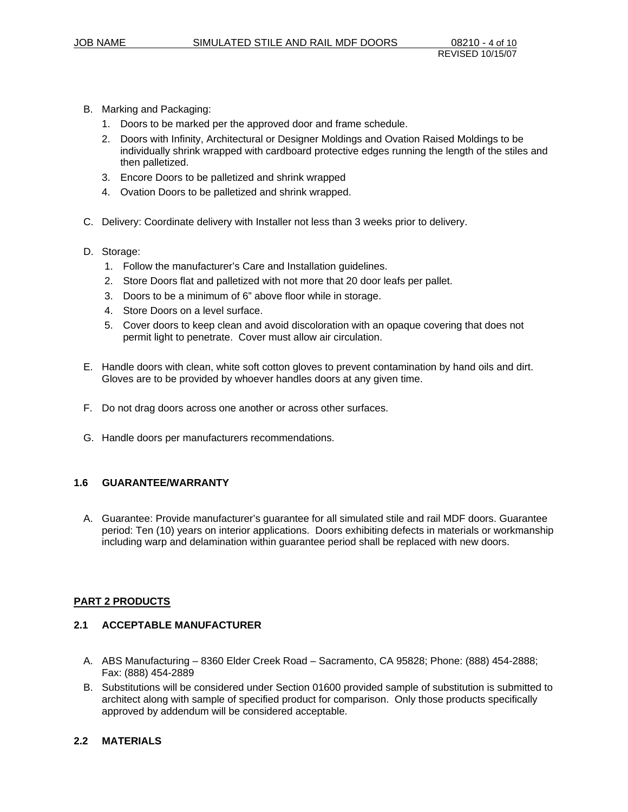- B. Marking and Packaging:
	- 1. Doors to be marked per the approved door and frame schedule.
	- 2. Doors with Infinity, Architectural or Designer Moldings and Ovation Raised Moldings to be individually shrink wrapped with cardboard protective edges running the length of the stiles and then palletized.
	- 3. Encore Doors to be palletized and shrink wrapped
	- 4. Ovation Doors to be palletized and shrink wrapped.
- C. Delivery: Coordinate delivery with Installer not less than 3 weeks prior to delivery.
- D. Storage:
	- 1. Follow the manufacturer's Care and Installation guidelines.
	- 2. Store Doors flat and palletized with not more that 20 door leafs per pallet.
	- 3. Doors to be a minimum of 6" above floor while in storage.
	- 4. Store Doors on a level surface.
	- 5. Cover doors to keep clean and avoid discoloration with an opaque covering that does not permit light to penetrate. Cover must allow air circulation.
- E. Handle doors with clean, white soft cotton gloves to prevent contamination by hand oils and dirt. Gloves are to be provided by whoever handles doors at any given time.
- F. Do not drag doors across one another or across other surfaces.
- G. Handle doors per manufacturers recommendations.

#### **1.6 GUARANTEE/WARRANTY**

A. Guarantee: Provide manufacturer's guarantee for all simulated stile and rail MDF doors. Guarantee period: Ten (10) years on interior applications. Doors exhibiting defects in materials or workmanship including warp and delamination within guarantee period shall be replaced with new doors.

#### **PART 2 PRODUCTS**

#### **2.1 ACCEPTABLE MANUFACTURER**

- A. ABS Manufacturing 8360 Elder Creek Road Sacramento, CA 95828; Phone: (888) 454-2888; Fax: (888) 454-2889
- B. Substitutions will be considered under Section 01600 provided sample of substitution is submitted to architect along with sample of specified product for comparison. Only those products specifically approved by addendum will be considered acceptable.

### **2.2 MATERIALS**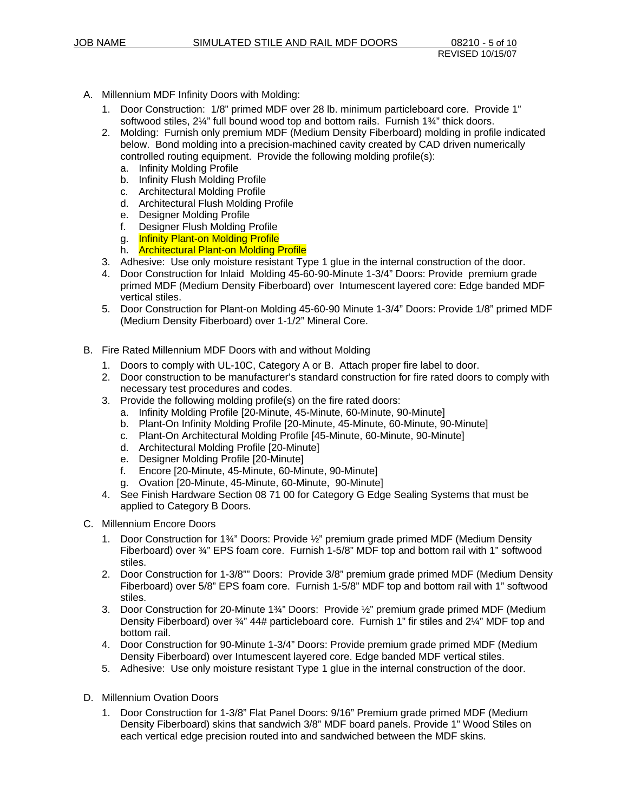- A. Millennium MDF Infinity Doors with Molding:
	- 1. Door Construction: 1/8" primed MDF over 28 lb. minimum particleboard core. Provide 1" softwood stiles, 2¼" full bound wood top and bottom rails. Furnish 1¾" thick doors.
	- 2. Molding: Furnish only premium MDF (Medium Density Fiberboard) molding in profile indicated below. Bond molding into a precision-machined cavity created by CAD driven numerically controlled routing equipment. Provide the following molding profile(s):
		- a. Infinity Molding Profile
		- b. Infinity Flush Molding Profile
		- c. Architectural Molding Profile
		- d. Architectural Flush Molding Profile
		- e. Designer Molding Profile
		- f. Designer Flush Molding Profile
		- g. **Infinity Plant-on Molding Profile**
		- h. Architectural Plant-on Molding Profile
	- 3. Adhesive: Use only moisture resistant Type 1 glue in the internal construction of the door.
	- 4. Door Construction for Inlaid Molding 45-60-90-Minute 1-3/4" Doors: Provide premium grade primed MDF (Medium Density Fiberboard) over Intumescent layered core: Edge banded MDF vertical stiles.
	- 5. Door Construction for Plant-on Molding 45-60-90 Minute 1-3/4" Doors: Provide 1/8" primed MDF (Medium Density Fiberboard) over 1-1/2" Mineral Core.
- B. Fire Rated Millennium MDF Doors with and without Molding
	- 1. Doors to comply with UL-10C, Category A or B. Attach proper fire label to door.
	- 2. Door construction to be manufacturer's standard construction for fire rated doors to comply with necessary test procedures and codes.
	- 3. Provide the following molding profile(s) on the fire rated doors:
		- a. Infinity Molding Profile [20-Minute, 45-Minute, 60-Minute, 90-Minute]
		- b. Plant-On Infinity Molding Profile [20-Minute, 45-Minute, 60-Minute, 90-Minute]
		- c. Plant-On Architectural Molding Profile [45-Minute, 60-Minute, 90-Minute]
		- d. Architectural Molding Profile [20-Minute]
		- e. Designer Molding Profile [20-Minute]
		- f. Encore [20-Minute, 45-Minute, 60-Minute, 90-Minute]
		- g. Ovation [20-Minute, 45-Minute, 60-Minute, 90-Minute]
	- 4. See Finish Hardware Section 08 71 00 for Category G Edge Sealing Systems that must be applied to Category B Doors.
- C. Millennium Encore Doors
	- 1. Door Construction for 1¾" Doors: Provide ½" premium grade primed MDF (Medium Density Fiberboard) over ¾" EPS foam core. Furnish 1-5/8" MDF top and bottom rail with 1" softwood stiles.
	- 2. Door Construction for 1-3/8"" Doors: Provide 3/8" premium grade primed MDF (Medium Density Fiberboard) over 5/8" EPS foam core. Furnish 1-5/8" MDF top and bottom rail with 1" softwood stiles.
	- 3. Door Construction for 20-Minute 1¾" Doors: Provide ½" premium grade primed MDF (Medium Density Fiberboard) over 34" 44# particleboard core. Furnish 1" fir stiles and 2¼" MDF top and bottom rail.
	- 4. Door Construction for 90-Minute 1-3/4" Doors: Provide premium grade primed MDF (Medium Density Fiberboard) over Intumescent layered core. Edge banded MDF vertical stiles.
	- 5. Adhesive: Use only moisture resistant Type 1 glue in the internal construction of the door.
- D. Millennium Ovation Doors
	- 1. Door Construction for 1-3/8" Flat Panel Doors: 9/16" Premium grade primed MDF (Medium Density Fiberboard) skins that sandwich 3/8" MDF board panels. Provide 1" Wood Stiles on each vertical edge precision routed into and sandwiched between the MDF skins.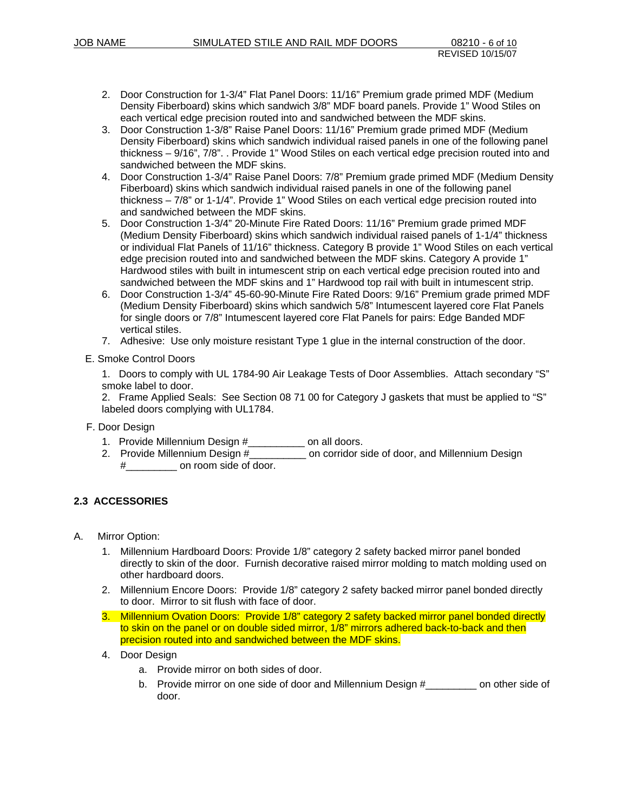- 2. Door Construction for 1-3/4" Flat Panel Doors: 11/16" Premium grade primed MDF (Medium Density Fiberboard) skins which sandwich 3/8" MDF board panels. Provide 1" Wood Stiles on each vertical edge precision routed into and sandwiched between the MDF skins.
- 3. Door Construction 1-3/8" Raise Panel Doors: 11/16" Premium grade primed MDF (Medium Density Fiberboard) skins which sandwich individual raised panels in one of the following panel thickness – 9/16", 7/8". . Provide 1" Wood Stiles on each vertical edge precision routed into and sandwiched between the MDF skins.
- 4. Door Construction 1-3/4" Raise Panel Doors: 7/8" Premium grade primed MDF (Medium Density Fiberboard) skins which sandwich individual raised panels in one of the following panel thickness – 7/8" or 1-1/4". Provide 1" Wood Stiles on each vertical edge precision routed into and sandwiched between the MDF skins.
- 5. Door Construction 1-3/4" 20-Minute Fire Rated Doors: 11/16" Premium grade primed MDF (Medium Density Fiberboard) skins which sandwich individual raised panels of 1-1/4" thickness or individual Flat Panels of 11/16" thickness. Category B provide 1" Wood Stiles on each vertical edge precision routed into and sandwiched between the MDF skins. Category A provide 1" Hardwood stiles with built in intumescent strip on each vertical edge precision routed into and sandwiched between the MDF skins and 1" Hardwood top rail with built in intumescent strip.
- 6. Door Construction 1-3/4" 45-60-90-Minute Fire Rated Doors: 9/16" Premium grade primed MDF (Medium Density Fiberboard) skins which sandwich 5/8" Intumescent layered core Flat Panels for single doors or 7/8" Intumescent layered core Flat Panels for pairs: Edge Banded MDF vertical stiles.
- 7. Adhesive: Use only moisture resistant Type 1 glue in the internal construction of the door.
- E. Smoke Control Doors

1. Doors to comply with UL 1784-90 Air Leakage Tests of Door Assemblies. Attach secondary "S" smoke label to door.

- 2. Frame Applied Seals: See Section 08 71 00 for Category J gaskets that must be applied to "S" labeled doors complying with UL1784.
- F. Door Design
	- 1. Provide Millennium Design #\_\_\_\_\_\_\_\_\_\_ on all doors.
	- 2. Provide Millennium Design #\_\_\_\_\_\_\_\_\_\_\_ on corridor side of door, and Millennium Design #\_\_\_\_\_\_\_\_\_ on room side of door.

# **2.3 ACCESSORIES**

- A. Mirror Option:
	- 1. Millennium Hardboard Doors: Provide 1/8" category 2 safety backed mirror panel bonded directly to skin of the door. Furnish decorative raised mirror molding to match molding used on other hardboard doors.
	- 2. Millennium Encore Doors: Provide 1/8" category 2 safety backed mirror panel bonded directly to door. Mirror to sit flush with face of door.
	- 3. Millennium Ovation Doors: Provide 1/8" category 2 safety backed mirror panel bonded directly to skin on the panel or on double sided mirror, 1/8" mirrors adhered back-to-back and then precision routed into and sandwiched between the MDF skins.
	- 4. Door Design
		- a. Provide mirror on both sides of door.
		- b. Provide mirror on one side of door and Millennium Design #\_\_\_\_\_\_\_\_\_ on other side of door.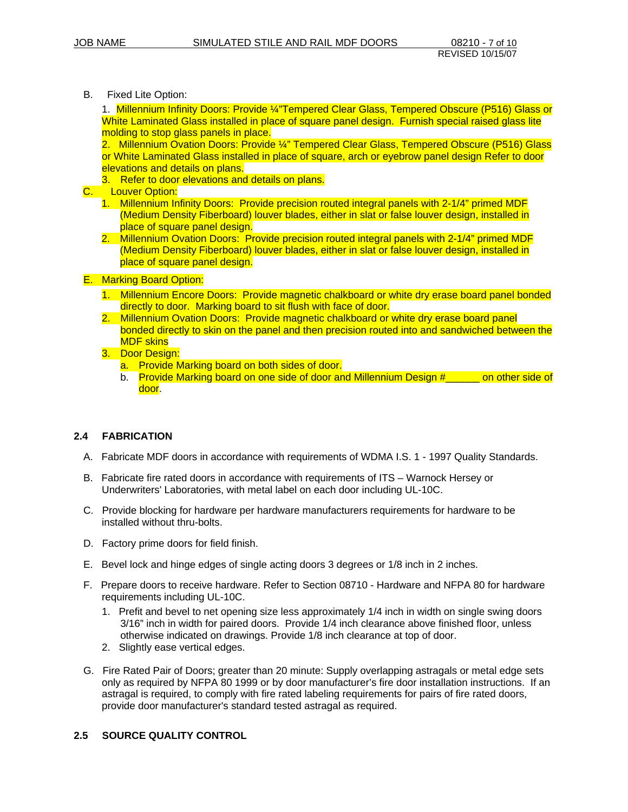B. Fixed Lite Option:

1. Millennium Infinity Doors: Provide ¼"Tempered Clear Glass, Tempered Obscure (P516) Glass or White Laminated Glass installed in place of square panel design. Furnish special raised glass lite molding to stop glass panels in place.

2. Millennium Ovation Doors: Provide ¼" Tempered Clear Glass, Tempered Obscure (P516) Glass or White Laminated Glass installed in place of square, arch or eyebrow panel design Refer to door elevations and details on plans.

- 3. Refer to door elevations and details on plans.
- C. Louver Option:
	- 1. Millennium Infinity Doors: Provide precision routed integral panels with 2-1/4" primed MDF (Medium Density Fiberboard) louver blades, either in slat or false louver design, installed in place of square panel design.
	- 2. Millennium Ovation Doors: Provide precision routed integral panels with 2-1/4" primed MDF (Medium Density Fiberboard) louver blades, either in slat or false louver design, installed in place of square panel design.

#### E. Marking Board Option:

- 1. Millennium Encore Doors: Provide magnetic chalkboard or white dry erase board panel bonded directly to door. Marking board to sit flush with face of door.
- 2. Millennium Ovation Doors: Provide magnetic chalkboard or white dry erase board panel bonded directly to skin on the panel and then precision routed into and sandwiched between the MDF skins
- 3. Door Design:
	- a. Provide Marking board on both sides of door.
	- b. Provide Marking board on one side of door and Millennium Design #\_\_\_\_\_\_ on other side of door.

# **2.4 FABRICATION**

- A. Fabricate MDF doors in accordance with requirements of WDMA I.S. 1 1997 Quality Standards.
- B. Fabricate fire rated doors in accordance with requirements of ITS Warnock Hersey or Underwriters' Laboratories, with metal label on each door including UL-10C.
- C. Provide blocking for hardware per hardware manufacturers requirements for hardware to be installed without thru-bolts.
- D. Factory prime doors for field finish.
- E. Bevel lock and hinge edges of single acting doors 3 degrees or 1/8 inch in 2 inches.
- F. Prepare doors to receive hardware. Refer to Section 08710 Hardware and NFPA 80 for hardware requirements including UL-10C.
	- 1. Prefit and bevel to net opening size less approximately 1/4 inch in width on single swing doors 3/16" inch in width for paired doors. Provide 1/4 inch clearance above finished floor, unless otherwise indicated on drawings. Provide 1/8 inch clearance at top of door.
	- 2. Slightly ease vertical edges.
- G. Fire Rated Pair of Doors; greater than 20 minute: Supply overlapping astragals or metal edge sets only as required by NFPA 80 1999 or by door manufacturer's fire door installation instructions. If an astragal is required, to comply with fire rated labeling requirements for pairs of fire rated doors, provide door manufacturer's standard tested astragal as required.

# **2.5 SOURCE QUALITY CONTROL**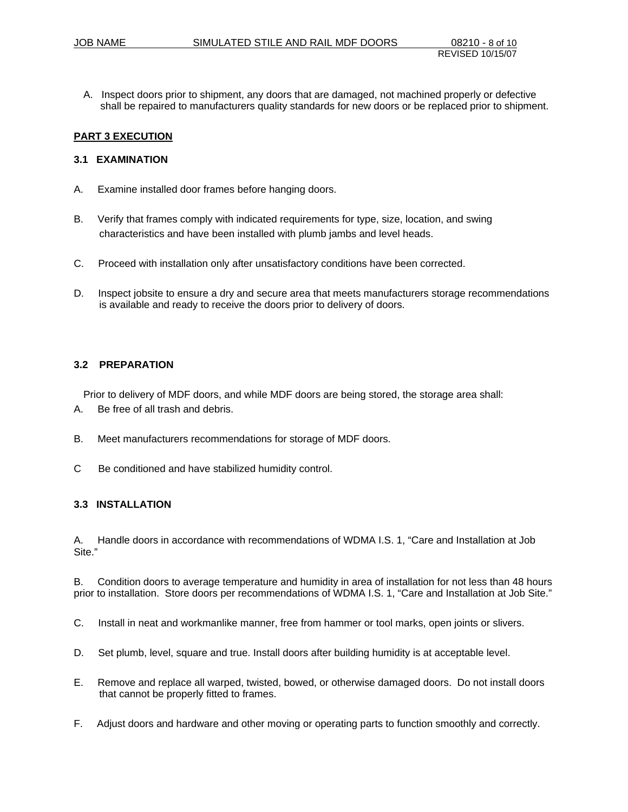A. Inspect doors prior to shipment, any doors that are damaged, not machined properly or defective shall be repaired to manufacturers quality standards for new doors or be replaced prior to shipment.

### **PART 3 EXECUTION**

### **3.1 EXAMINATION**

- A. Examine installed door frames before hanging doors.
- B. Verify that frames comply with indicated requirements for type, size, location, and swing characteristics and have been installed with plumb jambs and level heads.
- C. Proceed with installation only after unsatisfactory conditions have been corrected.
- D. Inspect jobsite to ensure a dry and secure area that meets manufacturers storage recommendations is available and ready to receive the doors prior to delivery of doors.

### **3.2 PREPARATION**

Prior to delivery of MDF doors, and while MDF doors are being stored, the storage area shall:

- A. Be free of all trash and debris.
- B. Meet manufacturers recommendations for storage of MDF doors.
- C Be conditioned and have stabilized humidity control.

# **3.3 INSTALLATION**

A. Handle doors in accordance with recommendations of WDMA I.S. 1, "Care and Installation at Job Site."

B. Condition doors to average temperature and humidity in area of installation for not less than 48 hours prior to installation. Store doors per recommendations of WDMA I.S. 1, "Care and Installation at Job Site."

- C. Install in neat and workmanlike manner, free from hammer or tool marks, open joints or slivers.
- D. Set plumb, level, square and true. Install doors after building humidity is at acceptable level.
- E. Remove and replace all warped, twisted, bowed, or otherwise damaged doors. Do not install doors that cannot be properly fitted to frames.
- F. Adjust doors and hardware and other moving or operating parts to function smoothly and correctly.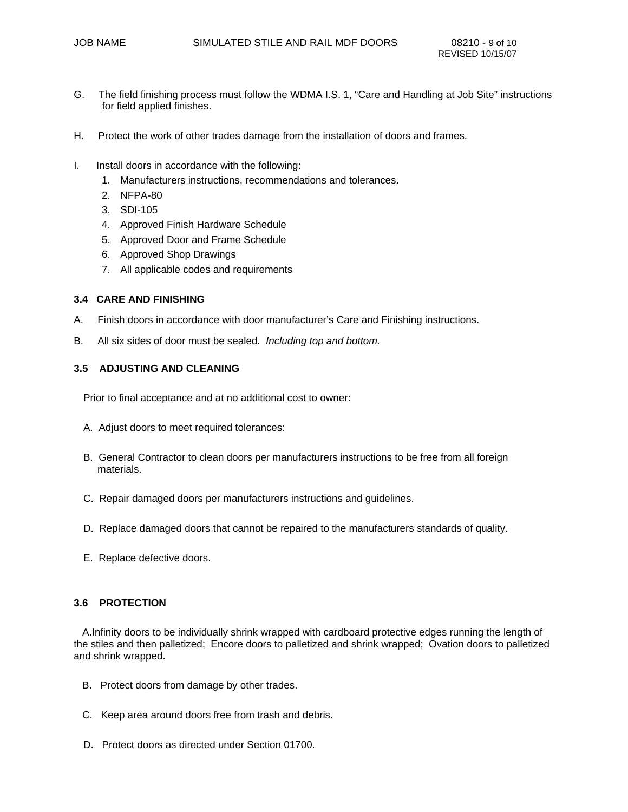- G. The field finishing process must follow the WDMA I.S. 1, "Care and Handling at Job Site" instructions for field applied finishes.
- H. Protect the work of other trades damage from the installation of doors and frames.
- I. Install doors in accordance with the following:
	- 1. Manufacturers instructions, recommendations and tolerances.
	- 2. NFPA-80
	- 3. SDI-105
	- 4. Approved Finish Hardware Schedule
	- 5. Approved Door and Frame Schedule
	- 6. Approved Shop Drawings
	- 7. All applicable codes and requirements

### **3.4 CARE AND FINISHING**

- A. Finish doors in accordance with door manufacturer's Care and Finishing instructions.
- B. All six sides of door must be sealed. *Including top and bottom.*

#### **3.5 ADJUSTING AND CLEANING**

Prior to final acceptance and at no additional cost to owner:

- A. Adjust doors to meet required tolerances:
- B. General Contractor to clean doors per manufacturers instructions to be free from all foreign materials.
- C. Repair damaged doors per manufacturers instructions and guidelines.
- D. Replace damaged doors that cannot be repaired to the manufacturers standards of quality.
- E. Replace defective doors.

#### **3.6 PROTECTION**

 A.Infinity doors to be individually shrink wrapped with cardboard protective edges running the length of the stiles and then palletized; Encore doors to palletized and shrink wrapped; Ovation doors to palletized and shrink wrapped.

- B. Protect doors from damage by other trades.
- C. Keep area around doors free from trash and debris.
- D. Protect doors as directed under Section 01700.